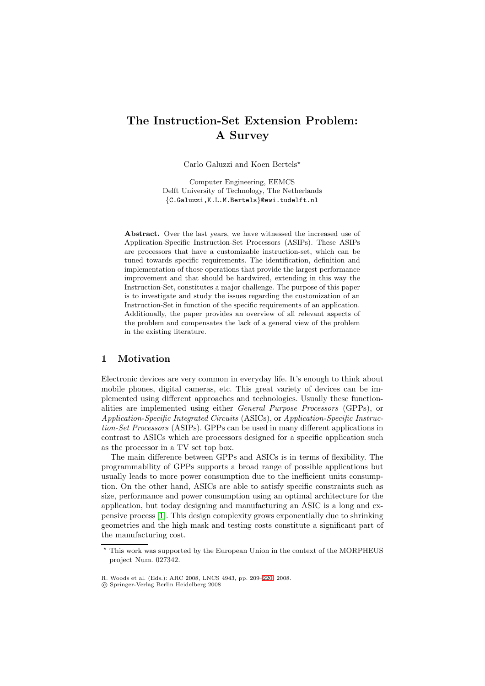# **The Instruction-Set Extension Problem: A Survey**

Carlo Galuzzi and Koen Bertels-

Computer Engineering, EEMCS Delft University of Technology, The Netherlands {C.Galuzzi,K.L.M.Bertels}@ewi.tudelft.nl

**Abstract.** Over the last years, we have witnessed the increased use of Application-Specific Instruction-Set Processors (ASIPs). These ASIPs are processors that have a customizable instruction-set, which can be tuned towards specific requirements. The identification, definition and implementation of those operations that provide the largest performance improvement and that should be hardwired, extending in this way the Instruction-Set, constitutes a major challenge. The purpose of this paper is to investigate and study the issues regarding the customization of an Instruction-Set in function of the specific requirements of an application. Additionally, the paper provides an overview of all relevant aspects of the problem and compensates the lack of a general view of the problem in the existing literature.

# **1 Motivation**

Electronic devices are very common in everyday life. It's enough to think about mobile phones, digital cameras, etc. This great variety of devices can be implemented using different approaches and technologies. Usually these functionalities are implemented using either General Purpose Processors (GPPs), or Application-Specific Integrated Circuits (ASICs), or Application-Specific Instruction-Set Processors (ASIPs). GPPs can be used in many different applications in contrast to ASICs which are processors designed for a specific application such as the processor in a TV set top box.

The main difference between GPPs and ASICs is in terms of flexibility. The programmability of GPPs supports a broad range of possible applications but usually leads to more power consumption due to the inefficient units consumption. On the other hand, ASICs are able to satisfy specific constraints such as size, performance and power consumption using an optimal architecture for the application, but today designing and manufacturing an ASIC is a long and expensive process [\[1\]](#page-9-0). This design complexity grows exponentially due to shrinking geometries and the high mask and testing costs constitute a significant part of the manufacturing cost.

 $\star$  This work was supported by the European Union in the context of the MORPHEUS project Num. 027342.

R. Woods et al. (Eds.): ARC 2008, LNCS 4943, pp. 209[–220,](#page-9-1) 2008.

<sup>-</sup>c Springer-Verlag Berlin Heidelberg 2008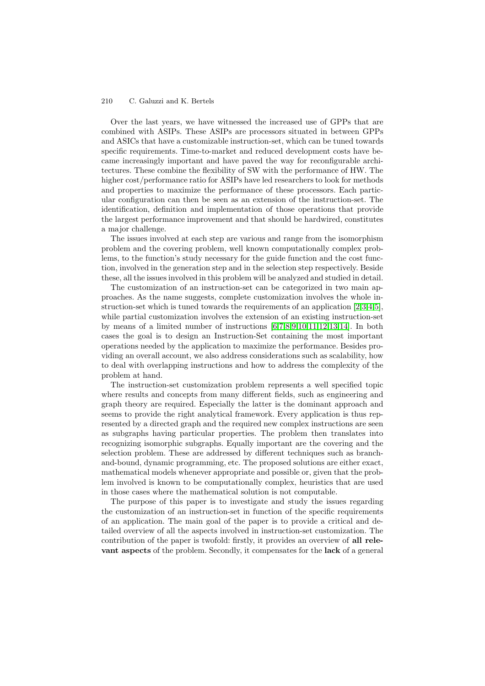Over the last years, we have witnessed the increased use of GPPs that are combined with ASIPs. These ASIPs are processors situated in between GPPs and ASICs that have a customizable instruction-set, which can be tuned towards specific requirements. Time-to-market and reduced development costs have became increasingly important and have paved the way for reconfigurable architectures. These combine the flexibility of SW with the performance of HW. The higher cost/performance ratio for ASIPs have led researchers to look for methods and properties to maximize the performance of these processors. Each particular configuration can then be seen as an extension of the instruction-set. The identification, definition and implementation of those operations that provide the largest performance improvement and that should be hardwired, constitutes a major challenge.

The issues involved at each step are various and range from the isomorphism problem and the covering problem, well known computationally complex problems, to the function's study necessary for the guide function and the cost function, involved in the generation step and in the selection step respectively. Beside these, all the issues involved in this problem will be analyzed and studied in detail.

The customization of an instruction-set can be categorized in two main approaches. As the name suggests, complete customization involves the whole instruction-set which is tuned towards the requirements of an application [\[2](#page-9-2)[,3,](#page-9-3)[4,](#page-9-4)[5\]](#page-9-5), while partial customization involves the extension of an existing instruction-set by means of a limited number of instructions [\[6](#page-9-6)[,7,](#page-9-7)[8](#page-9-8)[,9,](#page-9-9)[10](#page-9-10)[,11](#page-9-11)[,12](#page-9-12)[,13,](#page-10-0)[14\]](#page-10-1). In both cases the goal is to design an Instruction-Set containing the most important operations needed by the application to maximize the performance. Besides providing an overall account, we also address considerations such as scalability, how to deal with overlapping instructions and how to address the complexity of the problem at hand.

The instruction-set customization problem represents a well specified topic where results and concepts from many different fields, such as engineering and graph theory are required. Especially the latter is the dominant approach and seems to provide the right analytical framework. Every application is thus represented by a directed graph and the required new complex instructions are seen as subgraphs having particular properties. The problem then translates into recognizing isomorphic subgraphs. Equally important are the covering and the selection problem. These are addressed by different techniques such as branchand-bound, dynamic programming, etc. The proposed solutions are either exact, mathematical models whenever appropriate and possible or, given that the problem involved is known to be computationally complex, heuristics that are used in those cases where the mathematical solution is not computable.

The purpose of this paper is to investigate and study the issues regarding the customization of an instruction-set in function of the specific requirements of an application. The main goal of the paper is to provide a critical and detailed overview of all the aspects involved in instruction-set customization. The contribution of the paper is twofold: firstly, it provides an overview of **all relevant aspects** of the problem. Secondly, it compensates for the **lack** of a general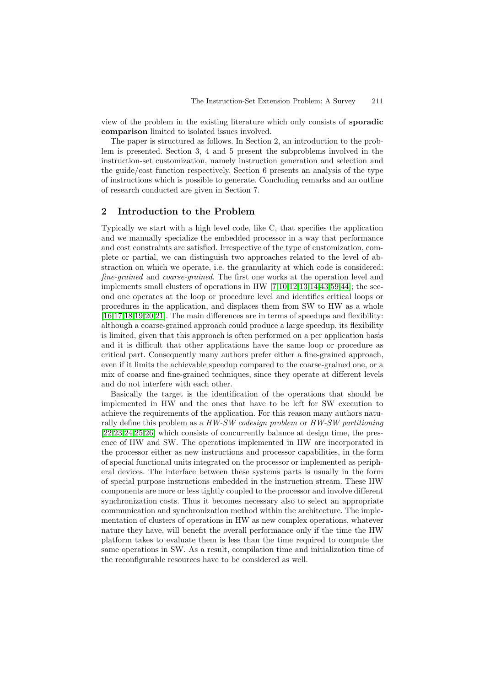view of the problem in the existing literature which only consists of **sporadic comparison** limited to isolated issues involved.

The paper is structured as follows. In Section 2, an introduction to the problem is presented. Section 3, 4 and 5 present the subproblems involved in the instruction-set customization, namely instruction generation and selection and the guide/cost function respectively. Section 6 presents an analysis of the type of instructions which is possible to generate. Concluding remarks and an outline of research conducted are given in Section 7.

## **2 Introduction to the Problem**

Typically we start with a high level code, like C, that specifies the application and we manually specialize the embedded processor in a way that performance and cost constraints are satisfied. Irrespective of the type of customization, complete or partial, we can distinguish two approaches related to the level of abstraction on which we operate, i.e. the granularity at which code is considered: fine-grained and coarse-grained. The first one works at the operation level and implements small clusters of operations in HW [\[7](#page-9-7)[,10,](#page-9-10)[12,](#page-9-12)[13](#page-10-0)[,14,](#page-10-1)[43](#page-11-0)[,59](#page-11-1)[,44\]](#page-11-2); the second one operates at the loop or procedure level and identifies critical loops or procedures in the application, and displaces them from SW to HW as a whole [\[16,](#page-10-2)[17,](#page-10-3)[18](#page-10-4)[,19](#page-10-5)[,20,](#page-10-6)[21\]](#page-10-7). The main differences are in terms of speedups and flexibility: although a coarse-grained approach could produce a large speedup, its flexibility is limited, given that this approach is often performed on a per application basis and it is difficult that other applications have the same loop or procedure as critical part. Consequently many authors prefer either a fine-grained approach, even if it limits the achievable speedup compared to the coarse-grained one, or a mix of coarse and fine-grained techniques, since they operate at different levels and do not interfere with each other.

Basically the target is the identification of the operations that should be implemented in HW and the ones that have to be left for SW execution to achieve the requirements of the application. For this reason many authors naturally define this problem as a HW-SW codesign problem or HW-SW partitioning [\[22,](#page-10-8)[23,](#page-10-9)[24](#page-10-10)[,25](#page-10-11)[,26\]](#page-10-12) which consists of concurrently balance at design time, the presence of HW and SW. The operations implemented in HW are incorporated in the processor either as new instructions and processor capabilities, in the form of special functional units integrated on the processor or implemented as peripheral devices. The interface between these systems parts is usually in the form of special purpose instructions embedded in the instruction stream. These HW components are more or less tightly coupled to the processor and involve different synchronization costs. Thus it becomes necessary also to select an appropriate communication and synchronization method within the architecture. The implementation of clusters of operations in HW as new complex operations, whatever nature they have, will benefit the overall performance only if the time the HW platform takes to evaluate them is less than the time required to compute the same operations in SW. As a result, compilation time and initialization time of the reconfigurable resources have to be considered as well.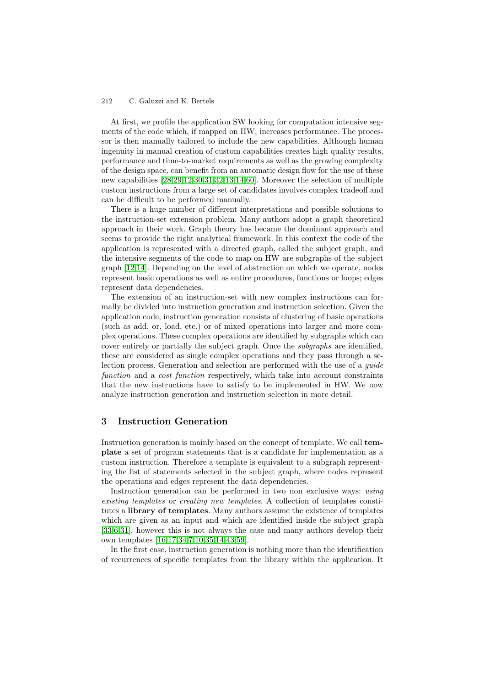At first, we profile the application SW looking for computation intensive segments of the code which, if mapped on HW, increases performance. The processor is then manually tailored to include the new capabilities. Although human ingenuity in manual creation of custom capabilities creates high quality results, performance and time-to-market requirements as well as the growing complexity of the design space, can benefit from an automatic design flow for the use of these new capabilities [\[28,](#page-10-13)[29](#page-10-14)[,12](#page-9-12)[,30](#page-10-15)[,31,](#page-10-16)[32](#page-10-17)[,13](#page-10-0)[,14](#page-10-1)[,60\]](#page-11-3). Moreover the selection of multiple custom instructions from a large set of candidates involves complex tradeoff and can be difficult to be performed manually.

There is a huge number of different interpretations and possible solutions to the instruction-set extension problem. Many authors adopt a graph theoretical approach in their work. Graph theory has became the dominant approach and seems to provide the right analytical framework. In this context the code of the application is represented with a directed graph, called the subject graph, and the intensive segments of the code to map on HW are subgraphs of the subject graph [\[12,](#page-9-12)[14\]](#page-10-1). Depending on the level of abstraction on which we operate, nodes represent basic operations as well as entire procedures, functions or loops; edges represent data dependencies.

The extension of an instruction-set with new complex instructions can formally be divided into instruction generation and instruction selection. Given the application code, instruction generation consists of clustering of basic operations (such as add, or, load, etc.) or of mixed operations into larger and more complex operations. These complex operations are identified by subgraphs which can cover entirely or partially the subject graph. Once the subgraphs are identified, these are considered as single complex operations and they pass through a selection process. Generation and selection are performed with the use of a guide function and a *cost function* respectively, which take into account constraints that the new instructions have to satisfy to be implemented in HW. We now analyze instruction generation and instruction selection in more detail.

## **3 Instruction Generation**

Instruction generation is mainly based on the concept of template. We call **template** a set of program statements that is a candidate for implementation as a custom instruction. Therefore a template is equivalent to a subgraph representing the list of statements selected in the subject graph, where nodes represent the operations and edges represent the data dependencies.

Instruction generation can be performed in two non exclusive ways: using existing templates or creating new templates. A collection of templates constitutes a **library of templates**. Many authors assume the existence of templates which are given as an input and which are identified inside the subject graph [\[33,](#page-10-18)[6,](#page-9-6)[31\]](#page-10-16), however this is not always the case and many authors develop their own templates [\[16](#page-10-2)[,17,](#page-10-3)[34](#page-10-19)[,7](#page-9-7)[,10](#page-9-10)[,35,](#page-10-20)[14](#page-10-1)[,43](#page-11-0)[,59\]](#page-11-1).

In the first case, instruction generation is nothing more than the identification of recurrences of specific templates from the library within the application. It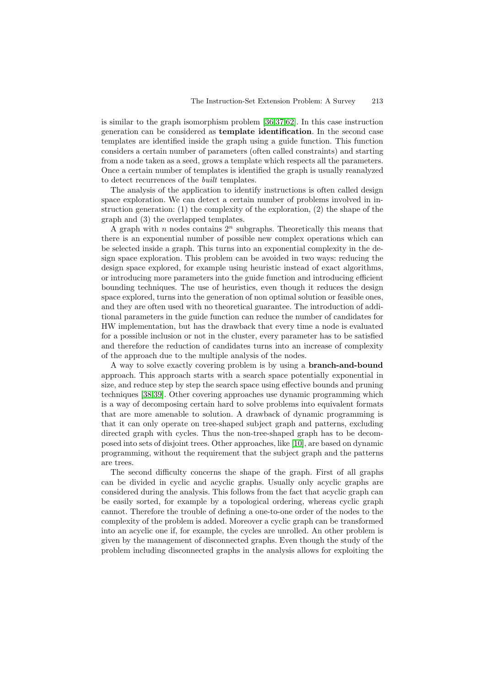is similar to the graph isomorphism problem [\[36](#page-10-21)[,37,](#page-10-22)[62\]](#page-11-4). In this case instruction generation can be considered as **template identification**. In the second case templates are identified inside the graph using a guide function. This function considers a certain number of parameters (often called constraints) and starting from a node taken as a seed, grows a template which respects all the parameters. Once a certain number of templates is identified the graph is usually reanalyzed to detect recurrences of the built templates.

The analysis of the application to identify instructions is often called design space exploration. We can detect a certain number of problems involved in instruction generation: (1) the complexity of the exploration, (2) the shape of the graph and (3) the overlapped templates.

A graph with n nodes contains  $2^n$  subgraphs. Theoretically this means that there is an exponential number of possible new complex operations which can be selected inside a graph. This turns into an exponential complexity in the design space exploration. This problem can be avoided in two ways: reducing the design space explored, for example using heuristic instead of exact algorithms, or introducing more parameters into the guide function and introducing efficient bounding techniques. The use of heuristics, even though it reduces the design space explored, turns into the generation of non optimal solution or feasible ones, and they are often used with no theoretical guarantee. The introduction of additional parameters in the guide function can reduce the number of candidates for HW implementation, but has the drawback that every time a node is evaluated for a possible inclusion or not in the cluster, every parameter has to be satisfied and therefore the reduction of candidates turns into an increase of complexity of the approach due to the multiple analysis of the nodes.

A way to solve exactly covering problem is by using a **branch-and-bound** approach. This approach starts with a search space potentially exponential in size, and reduce step by step the search space using effective bounds and pruning techniques [\[38,](#page-10-23)[39\]](#page-11-5). Other covering approaches use dynamic programming which is a way of decomposing certain hard to solve problems into equivalent formats that are more amenable to solution. A drawback of dynamic programming is that it can only operate on tree-shaped subject graph and patterns, excluding directed graph with cycles. Thus the non-tree-shaped graph has to be decomposed into sets of disjoint trees. Other approaches, like [\[10\]](#page-9-10), are based on dynamic programming, without the requirement that the subject graph and the patterns are trees.

The second difficulty concerns the shape of the graph. First of all graphs can be divided in cyclic and acyclic graphs. Usually only acyclic graphs are considered during the analysis. This follows from the fact that acyclic graph can be easily sorted, for example by a topological ordering, whereas cyclic graph cannot. Therefore the trouble of defining a one-to-one order of the nodes to the complexity of the problem is added. Moreover a cyclic graph can be transformed into an acyclic one if, for example, the cycles are unrolled. An other problem is given by the management of disconnected graphs. Even though the study of the problem including disconnected graphs in the analysis allows for exploiting the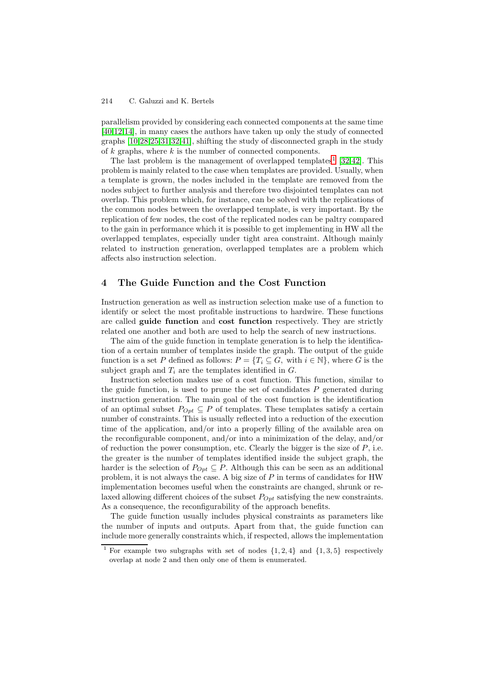parallelism provided by considering each connected components at the same time [\[40,](#page-11-6)[12,](#page-9-12)[14\]](#page-10-1), in many cases the authors have taken up only the study of connected graphs [\[10,](#page-9-10)[28](#page-10-13)[,25](#page-10-11)[,31](#page-10-16)[,32,](#page-10-17)[41\]](#page-11-7), shifting the study of disconnected graph in the study of  $k$  graphs, where  $k$  is the number of connected components.

The last problem is the management of overlapped templates<sup>[1](#page-5-0)</sup> [\[32,](#page-10-17)[42\]](#page-11-8). This problem is mainly related to the case when templates are provided. Usually, when a template is grown, the nodes included in the template are removed from the nodes subject to further analysis and therefore two disjointed templates can not overlap. This problem which, for instance, can be solved with the replications of the common nodes between the overlapped template, is very important. By the replication of few nodes, the cost of the replicated nodes can be paltry compared to the gain in performance which it is possible to get implementing in HW all the overlapped templates, especially under tight area constraint. Although mainly related to instruction generation, overlapped templates are a problem which affects also instruction selection.

## **4 The Guide Function and the Cost Function**

Instruction generation as well as instruction selection make use of a function to identify or select the most profitable instructions to hardwire. These functions are called **guide function** and **cost function** respectively. They are strictly related one another and both are used to help the search of new instructions.

The aim of the guide function in template generation is to help the identification of a certain number of templates inside the graph. The output of the guide function is a set P defined as follows:  $P = \{T_i \subseteq G, \text{ with } i \in \mathbb{N}\},\$ where G is the subject graph and  $T_i$  are the templates identified in  $G$ .

Instruction selection makes use of a cost function. This function, similar to the guide function, is used to prune the set of candidates  $P$  generated during instruction generation. The main goal of the cost function is the identification of an optimal subset  $P_{Opt} \subseteq P$  of templates. These templates satisfy a certain number of constraints. This is usually reflected into a reduction of the execution time of the application, and/or into a properly filling of the available area on the reconfigurable component, and/or into a minimization of the delay, and/or of reduction the power consumption, etc. Clearly the bigger is the size of  $P$ , i.e. the greater is the number of templates identified inside the subject graph, the harder is the selection of  $P_{Opt} \subseteq P$ . Although this can be seen as an additional problem, it is not always the case. A big size of  $P$  in terms of candidates for HW implementation becomes useful when the constraints are changed, shrunk or relaxed allowing different choices of the subset  $P_{Opt}$  satisfying the new constraints. As a consequence, the reconfigurability of the approach benefits.

The guide function usually includes physical constraints as parameters like the number of inputs and outputs. Apart from that, the guide function can include more generally constraints which, if respected, allows the implementation

<span id="page-5-0"></span>For example two subgraphs with set of nodes  $\{1, 2, 4\}$  and  $\{1, 3, 5\}$  respectively overlap at node 2 and then only one of them is enumerated.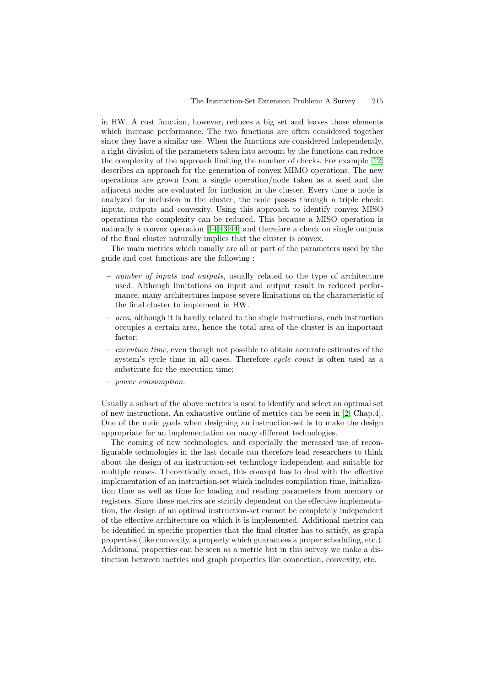in HW. A cost function, however, reduces a big set and leaves those elements which increase performance. The two functions are often considered together since they have a similar use. When the functions are considered independently, a right division of the parameters taken into account by the functions can reduce the complexity of the approach limiting the number of checks. For example [\[12\]](#page-9-12) describes an approach for the generation of convex MIMO operations. The new operations are grown from a single operation/node taken as a seed and the adjacent nodes are evaluated for inclusion in the cluster. Every time a node is analyzed for inclusion in the cluster, the node passes through a triple check: inputs, outputs and convexity. Using this approach to identify convex MISO operations the complexity can be reduced. This because a MISO operation is naturally a convex operation [\[14](#page-10-1)[,43,](#page-11-0)[44\]](#page-11-2) and therefore a check on single outputs of the final cluster naturally implies that the cluster is convex.

The main metrics which usually are all or part of the parameters used by the guide and cost functions are the following :

- **–** number of inputs and outputs, usually related to the type of architecture used. Although limitations on input and output result in reduced performance, many architectures impose severe limitations on the characteristic of the final cluster to implement in HW.
- **–** area, although it is hardly related to the single instructions, each instruction occupies a certain area, hence the total area of the cluster is an important factor;
- **–** execution time, even though not possible to obtain accurate estimates of the system's cycle time in all cases. Therefore cycle count is often used as a substitute for the execution time;
- **–** power consumption.

Usually a subset of the above metrics is used to identify and select an optimal set of new instructions. An exhaustive outline of metrics can be seen in [\[2,](#page-9-2) Chap.4]. One of the main goals when designing an instruction-set is to make the design appropriate for an implementation on many different technologies.

The coming of new technologies, and especially the increased use of reconfigurable technologies in the last decade can therefore lead researchers to think about the design of an instruction-set technology independent and suitable for multiple reuses. Theoretically exact, this concept has to deal with the effective implementation of an instruction-set which includes compilation time, initialization time as well as time for loading and reading parameters from memory or registers. Since these metrics are strictly dependent on the effective implementation, the design of an optimal instruction-set cannot be completely independent of the effective architecture on which it is implemented. Additional metrics can be identified in specific properties that the final cluster has to satisfy, as graph properties (like convexity, a property which guarantees a proper scheduling, etc.). Additional properties can be seen as a metric but in this survey we make a distinction between metrics and graph properties like connection, convexity, etc.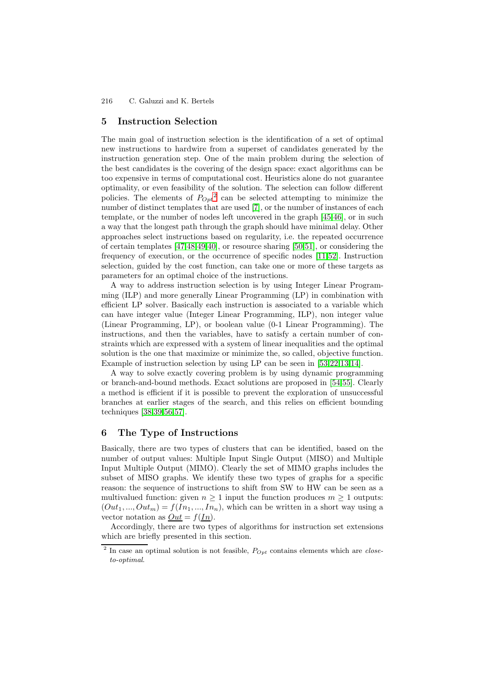## **5 Instruction Selection**

The main goal of instruction selection is the identification of a set of optimal new instructions to hardwire from a superset of candidates generated by the instruction generation step. One of the main problem during the selection of the best candidates is the covering of the design space: exact algorithms can be too expensive in terms of computational cost. Heuristics alone do not guarantee optimality, or even feasibility of the solution. The selection can follow different policies. The elements of  $P_{Opt}^2$  $P_{Opt}^2$  can be selected attempting to minimize the number of distinct templates that are used [\[7\]](#page-9-7), or the number of instances of each template, or the number of nodes left uncovered in the graph [\[45,](#page-11-9)[46\]](#page-11-10), or in such a way that the longest path through the graph should have minimal delay. Other approaches select instructions based on regularity, i.e. the repeated occurrence of certain templates [\[47](#page-11-11)[,48,](#page-11-12)[49,](#page-11-13)[40\]](#page-11-6), or resource sharing [\[50](#page-11-14)[,51\]](#page-11-15), or considering the frequency of execution, or the occurrence of specific nodes [\[11,](#page-9-11)[52\]](#page-11-16). Instruction selection, guided by the cost function, can take one or more of these targets as parameters for an optimal choice of the instructions.

A way to address instruction selection is by using Integer Linear Programming (ILP) and more generally Linear Programming (LP) in combination with efficient LP solver. Basically each instruction is associated to a variable which can have integer value (Integer Linear Programming, ILP), non integer value (Linear Programming, LP), or boolean value (0-1 Linear Programming). The instructions, and then the variables, have to satisfy a certain number of constraints which are expressed with a system of linear inequalities and the optimal solution is the one that maximize or minimize the, so called, objective function. Example of instruction selection by using LP can be seen in [\[53,](#page-11-17)[22](#page-10-8)[,13](#page-10-0)[,14\]](#page-10-1).

A way to solve exactly covering problem is by using dynamic programming or branch-and-bound methods. Exact solutions are proposed in [\[54](#page-11-18)[,55\]](#page-11-19). Clearly a method is efficient if it is possible to prevent the exploration of unsuccessful branches at earlier stages of the search, and this relies on efficient bounding techniques [\[38,](#page-10-23)[39](#page-11-5)[,56](#page-11-20)[,57\]](#page-11-21).

# **6 The Type of Instructions**

Basically, there are two types of clusters that can be identified, based on the number of output values: Multiple Input Single Output (MISO) and Multiple Input Multiple Output (MIMO). Clearly the set of MIMO graphs includes the subset of MISO graphs. We identify these two types of graphs for a specific reason: the sequence of instructions to shift from SW to HW can be seen as a multivalued function: given  $n \geq 1$  input the function produces  $m \geq 1$  outputs:  $(Out_1, ..., Out_m) = f(In_1, ..., In_n)$ , which can be written in a short way using a vector notation as  $Out = f(In)$ .

Accordingly, there are two types of algorithms for instruction set extensions which are briefly presented in this section.

<span id="page-7-0"></span>In case an optimal solution is not feasible,  $P_{Opt}$  contains elements which are *close*to-optimal.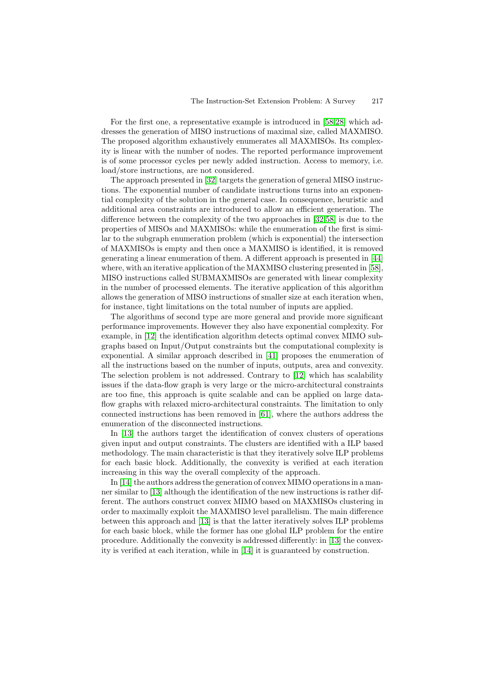For the first one, a representative example is introduced in [\[58,](#page-11-22)[28\]](#page-10-13) which addresses the generation of MISO instructions of maximal size, called MAXMISO. The proposed algorithm exhaustively enumerates all MAXMISOs. Its complexity is linear with the number of nodes. The reported performance improvement is of some processor cycles per newly added instruction. Access to memory, i.e. load/store instructions, are not considered.

The approach presented in [\[32\]](#page-10-17) targets the generation of general MISO instructions. The exponential number of candidate instructions turns into an exponential complexity of the solution in the general case. In consequence, heuristic and additional area constraints are introduced to allow an efficient generation. The difference between the complexity of the two approaches in [\[32,](#page-10-17)[58\]](#page-11-22) is due to the properties of MISOs and MAXMISOs: while the enumeration of the first is similar to the subgraph enumeration problem (which is exponential) the intersection of MAXMISOs is empty and then once a MAXMISO is identified, it is removed generating a linear enumeration of them. A different approach is presented in [\[44\]](#page-11-2) where, with an iterative application of the MAXMISO clustering presented in [\[58\]](#page-11-22), MISO instructions called SUBMAXMISOs are generated with linear complexity in the number of processed elements. The iterative application of this algorithm allows the generation of MISO instructions of smaller size at each iteration when, for instance, tight limitations on the total number of inputs are applied.

The algorithms of second type are more general and provide more significant performance improvements. However they also have exponential complexity. For example, in [\[12\]](#page-9-12) the identification algorithm detects optimal convex MIMO subgraphs based on Input/Output constraints but the computational complexity is exponential. A similar approach described in [\[41\]](#page-11-7) proposes the enumeration of all the instructions based on the number of inputs, outputs, area and convexity. The selection problem is not addressed. Contrary to [\[12\]](#page-9-12) which has scalability issues if the data-flow graph is very large or the micro-architectural constraints are too fine, this approach is quite scalable and can be applied on large dataflow graphs with relaxed micro-architectural constraints. The limitation to only connected instructions has been removed in [\[61\]](#page-11-23), where the authors address the enumeration of the disconnected instructions.

In [\[13\]](#page-10-0) the authors target the identification of convex clusters of operations given input and output constraints. The clusters are identified with a ILP based methodology. The main characteristic is that they iteratively solve ILP problems for each basic block. Additionally, the convexity is verified at each iteration increasing in this way the overall complexity of the approach.

In [\[14\]](#page-10-1) the authors address the generation of convex MIMO operations in a manner similar to [\[13\]](#page-10-0) although the identification of the new instructions is rather different. The authors construct convex MIMO based on MAXMISOs clustering in order to maximally exploit the MAXMISO level parallelism. The main difference between this approach and [\[13\]](#page-10-0) is that the latter iteratively solves ILP problems for each basic block, while the former has one global ILP problem for the entire procedure. Additionally the convexity is addressed differently: in [\[13\]](#page-10-0) the convexity is verified at each iteration, while in [\[14\]](#page-10-1) it is guaranteed by construction.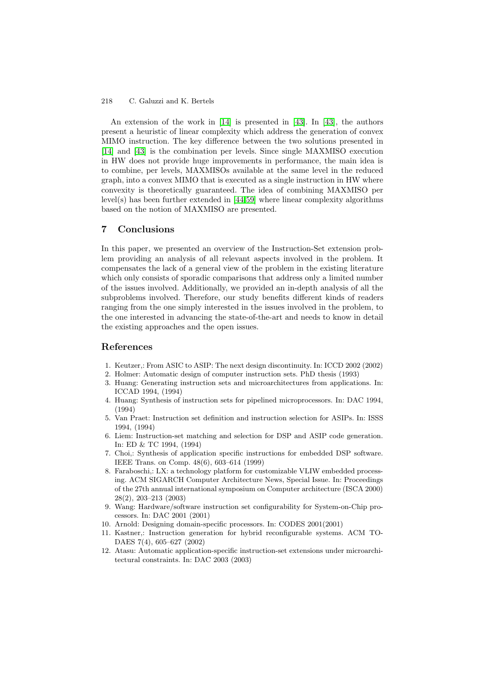An extension of the work in [\[14\]](#page-10-1) is presented in [\[43\]](#page-11-0). In [\[43\]](#page-11-0), the authors present a heuristic of linear complexity which address the generation of convex MIMO instruction. The key difference between the two solutions presented in [\[14\]](#page-10-1) and [\[43\]](#page-11-0) is the combination per levels. Since single MAXMISO execution in HW does not provide huge improvements in performance, the main idea is to combine, per levels, MAXMISOs available at the same level in the reduced graph, into a convex MIMO that is executed as a single instruction in HW where convexity is theoretically guaranteed. The idea of combining MAXMISO per level(s) has been further extended in [\[44,](#page-11-2)[59\]](#page-11-1) where linear complexity algorithms based on the notion of MAXMISO are presented.

# **7 Conclusions**

In this paper, we presented an overview of the Instruction-Set extension problem providing an analysis of all relevant aspects involved in the problem. It compensates the lack of a general view of the problem in the existing literature which only consists of sporadic comparisons that address only a limited number of the issues involved. Additionally, we provided an in-depth analysis of all the subproblems involved. Therefore, our study benefits different kinds of readers ranging from the one simply interested in the issues involved in the problem, to the one interested in advancing the state-of-the-art and needs to know in detail the existing approaches and the open issues.

## <span id="page-9-2"></span><span id="page-9-1"></span><span id="page-9-0"></span>**References**

- 1. Keutzer,: From ASIC to ASIP: The next design discontinuity. In: ICCD 2002 (2002)
- <span id="page-9-3"></span>2. Holmer: Automatic design of computer instruction sets. PhD thesis (1993)
- 3. Huang: Generating instruction sets and microarchitectures from applications. In: ICCAD 1994, (1994)
- <span id="page-9-4"></span>4. Huang: Synthesis of instruction sets for pipelined microprocessors. In: DAC 1994, (1994)
- <span id="page-9-5"></span>5. Van Praet: Instruction set definition and instruction selection for ASIPs. In: ISSS 1994, (1994)
- <span id="page-9-6"></span>6. Liem: Instruction-set matching and selection for DSP and ASIP code generation. In: ED & TC 1994, (1994)
- <span id="page-9-7"></span>7. Choi,: Synthesis of application specific instructions for embedded DSP software. IEEE Trans. on Comp. 48(6), 603–614 (1999)
- <span id="page-9-8"></span>8. Faraboschi,: LX: a technology platform for customizable VLIW embedded processing. ACM SIGARCH Computer Architecture News, Special Issue. In: Proceedings of the 27th annual international symposium on Computer architecture (ISCA 2000) 28(2), 203–213 (2003)
- <span id="page-9-9"></span>9. Wang: Hardware/software instruction set configurability for System-on-Chip processors. In: DAC 2001 (2001)
- <span id="page-9-10"></span>10. Arnold: Designing domain-specific processors. In: CODES 2001(2001)
- <span id="page-9-11"></span>11. Kastner,: Instruction generation for hybrid reconfigurable systems. ACM TO-DAES 7(4), 605–627 (2002)
- <span id="page-9-12"></span>12. Atasu: Automatic application-specific instruction-set extensions under microarchitectural constraints. In: DAC 2003 (2003)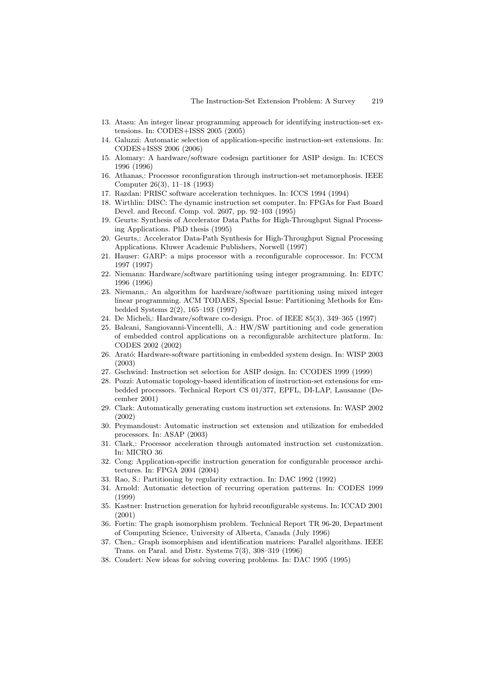- <span id="page-10-0"></span>13. Atasu: An integer linear programming approach for identifying instruction-set extensions. In: CODES+ISSS 2005 (2005)
- <span id="page-10-1"></span>14. Galuzzi: Automatic selection of application-specific instruction-set extensions. In: CODES+ISSS 2006 (2006)
- <span id="page-10-2"></span>15. Alomary: A hardware/software codesign partitioner for ASIP design. In: ICECS 1996 (1996)
- 16. Athanas,: Processor reconfiguration through instruction-set metamorphosis. IEEE Computer 26(3), 11–18 (1993)
- <span id="page-10-4"></span><span id="page-10-3"></span>17. Razdan: PRISC software acceleration techniques. In: ICCS 1994 (1994)
- <span id="page-10-5"></span>18. Wirthlin: DISC: The dynamic instruction set computer. In: FPGAs for Fast Board Devel. and Reconf. Comp. vol. 2607, pp. 92–103 (1995)
- 19. Geurts: Synthesis of Accelerator Data Paths for High-Throughput Signal Processing Applications. PhD thesis (1995)
- <span id="page-10-6"></span>20. Geurts,: Accelerator Data-Path Synthesis for High-Throughput Signal Processing Applications. Kluwer Academic Publishers, Norwell (1997)
- <span id="page-10-7"></span>21. Hauser: GARP: a mips processor with a reconfigurable coprocessor. In: FCCM 1997 (1997)
- <span id="page-10-8"></span>22. Niemann: Hardware/software partitioning using integer programming. In: EDTC 1996 (1996)
- <span id="page-10-9"></span>23. Niemann,: An algorithm for hardware/software partitioning using mixed integer linear programming. ACM TODAES, Special Issue: Partitioning Methods for Embedded Systems 2(2), 165–193 (1997)
- <span id="page-10-11"></span><span id="page-10-10"></span>24. De Micheli,: Hardware/software co-design. Proc. of IEEE 85(3), 349–365 (1997)
- 25. Baleani, Sangiovanni-Vincentelli, A.: HW/SW partitioning and code generation of embedded control applications on a reconfigurable architecture platform. In: CODES 2002 (2002)
- <span id="page-10-12"></span>26. Arató: Hardware-software partitioning in embedded system design. In: WISP 2003 (2003)
- <span id="page-10-13"></span>27. Gschwind: Instruction set selection for ASIP design. In: CCODES 1999 (1999)
- 28. Pozzi: Automatic topology-based identification of instruction-set extensions for embedded processors. Technical Report CS 01/377, EPFL, DI-LAP, Lausanne (December 2001)
- <span id="page-10-14"></span>29. Clark: Automatically generating custom instruction set extensions. In: WASP 2002 (2002)
- <span id="page-10-15"></span>30. Peymandoust: Automatic instruction set extension and utilization for embedded processors. In: ASAP (2003)
- <span id="page-10-16"></span>31. Clark,: Processor acceleration through automated instruction set customization. In: MICRO 36
- <span id="page-10-17"></span>32. Cong: Application-specific instruction generation for configurable processor architectures. In: FPGA 2004 (2004)
- <span id="page-10-19"></span><span id="page-10-18"></span>33. Rao, S.: Partitioning by regularity extraction. In: DAC 1992 (1992)
- 34. Arnold: Automatic detection of recurring operation patterns. In: CODES 1999 (1999)
- <span id="page-10-20"></span>35. Kastner: Instruction generation for hybrid reconfigurable systems. In: ICCAD 2001 (2001)
- <span id="page-10-21"></span>36. Fortin: The graph isomorphism problem. Technical Report TR 96-20, Department of Computing Science, University of Alberta, Canada (July 1996)
- <span id="page-10-22"></span>37. Chen,: Graph isomorphism and identification matrices: Parallel algorithms. IEEE Trans. on Paral. and Distr. Systems 7(3), 308–319 (1996)
- <span id="page-10-23"></span>38. Coudert: New ideas for solving covering problems. In: DAC 1995 (1995)